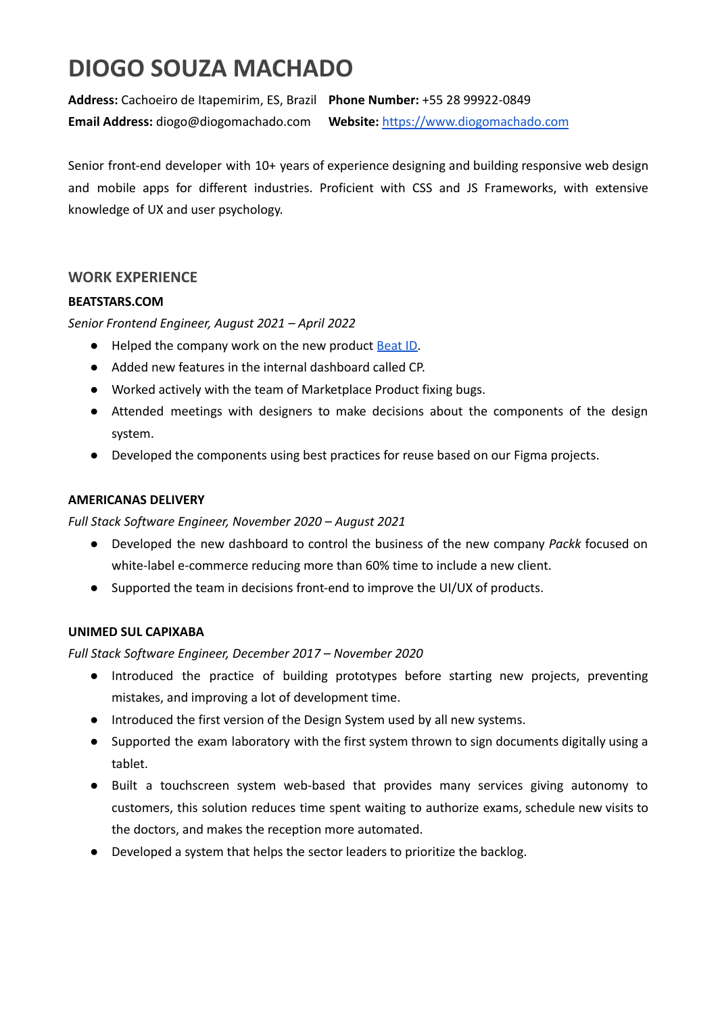# **DIOGO SOUZA MACHADO**

**Address:** Cachoeiro de Itapemirim, ES, Brazil **Phone Number:** +55 28 99922-0849 **Email Address:** diogo@diogomachado.com **Website:** <https://www.diogomachado.com>

Senior front-end developer with 10+ years of experience designing and building responsive web design and mobile apps for different industries. Proficient with CSS and JS Frameworks, with extensive knowledge of UX and user psychology.

# **WORK EXPERIENCE**

## **BEATSTARS.COM**

*Senior Frontend Engineer, August 2021 – April 2022*

- Helped the company work on the new product **[Beat](https://www.beatstars.com/beat-id) ID.**
- Added new features in the internal dashboard called CP.
- Worked actively with the team of Marketplace Product fixing bugs.
- Attended meetings with designers to make decisions about the components of the design system.
- Developed the components using best practices for reuse based on our Figma projects.

## **AMERICANAS DELIVERY**

*Full Stack Software Engineer, November 2020 – August 2021*

- Developed the new dashboard to control the business of the new company *Packk* focused on white-label e-commerce reducing more than 60% time to include a new client.
- Supported the team in decisions front-end to improve the UI/UX of products.

## **UNIMED SUL CAPIXABA**

*Full Stack Software Engineer, December 2017 – November 2020*

- Introduced the practice of building prototypes before starting new projects, preventing mistakes, and improving a lot of development time.
- Introduced the first version of the Design System used by all new systems.
- Supported the exam laboratory with the first system thrown to sign documents digitally using a tablet.
- Built a touchscreen system web-based that provides many services giving autonomy to customers, this solution reduces time spent waiting to authorize exams, schedule new visits to the doctors, and makes the reception more automated.
- Developed a system that helps the sector leaders to prioritize the backlog.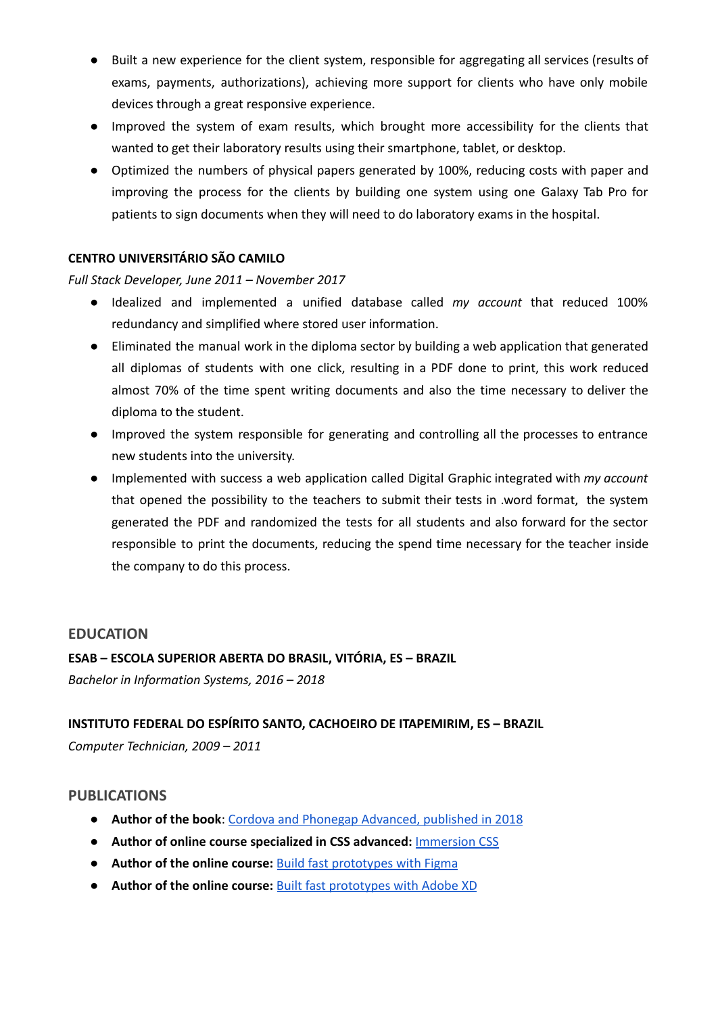- Built a new experience for the client system, responsible for aggregating all services (results of exams, payments, authorizations), achieving more support for clients who have only mobile devices through a great responsive experience.
- Improved the system of exam results, which brought more accessibility for the clients that wanted to get their laboratory results using their smartphone, tablet, or desktop.
- Optimized the numbers of physical papers generated by 100%, reducing costs with paper and improving the process for the clients by building one system using one Galaxy Tab Pro for patients to sign documents when they will need to do laboratory exams in the hospital.

# **CENTRO UNIVERSITÁRIO SÃO CAMILO**

#### *Full Stack Developer, June 2011 – November 2017*

- Idealized and implemented a unified database called *my account* that reduced 100% redundancy and simplified where stored user information.
- Eliminated the manual work in the diploma sector by building a web application that generated all diplomas of students with one click, resulting in a PDF done to print, this work reduced almost 70% of the time spent writing documents and also the time necessary to deliver the diploma to the student.
- Improved the system responsible for generating and controlling all the processes to entrance new students into the university.
- Implemented with success a web application called Digital Graphic integrated with *my account* that opened the possibility to the teachers to submit their tests in .word format, the system generated the PDF and randomized the tests for all students and also forward for the sector responsible to print the documents, reducing the spend time necessary for the teacher inside the company to do this process.

#### **EDUCATION**

# **ESAB – ESCOLA SUPERIOR ABERTA DO BRASIL, VITÓRIA, ES – BRAZIL** *Bachelor in Information Systems, 2016 – 2018*

## **INSTITUTO FEDERAL DO ESPÍRITO SANTO, CACHOEIRO DE ITAPEMIRIM, ES – BRAZIL**

*Computer Technician, 2009 – 2011*

## **PUBLICATIONS**

- **Author of the book**: Cordova and Phonegap [Advanced,](https://www.casadocodigo.com.br/products/livro-cordova-avancado) published in 2018
- **Author of online course specialized in CSS advanced:** [Immersion](https://imersaocss.com/) CSS
- **Author of the online course:** Build fast [prototypes](https://www.udemy.com/course/como-usar-software-figma-para-prototipos/) with Figma
- **Author of the online course:** Built fast [prototypes](https://www.udemy.com/course/curso-online-de-adobe-xd-prototipos/) with Adobe XD